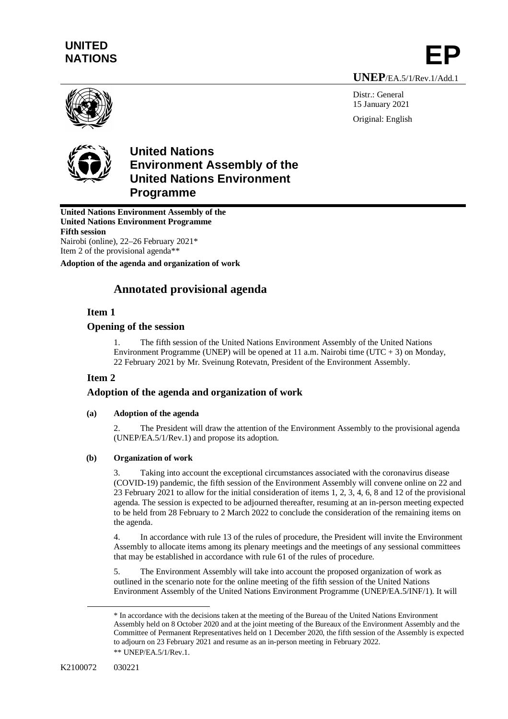# **UNITED**  NATIONS **EP**

**UNEP**/EA.5/1/Rev.1/Add.1

Distr.: General 15 January 2021 Original: English





## **United Nations Environment Assembly of the United Nations Environment Programme**

**United Nations Environment Assembly of the United Nations Environment Programme Fifth session** Nairobi (online), 22–26 February [2021\\*](#page-0-0)

Item 2 of the provisional agenda[\\*\\*](#page-0-1)

**Adoption of the agenda and organization of work**

## **Annotated provisional agenda**

## **Item 1**

## **Opening of the session**

1. The fifth session of the United Nations Environment Assembly of the United Nations Environment Programme (UNEP) will be opened at 11 a.m. Nairobi time (UTC + 3) on Monday, 22 February 2021 by Mr. Sveinung Rotevatn, President of the Environment Assembly.

## **Item 2**

## **Adoption of the agenda and organization of work**

## **(a) Adoption of the agenda**

2. The President will draw the attention of the Environment Assembly to the provisional agenda (UNEP/EA.5/1/Rev.1) and propose its adoption.

## **(b) Organization of work**

3. Taking into account the exceptional circumstances associated with the coronavirus disease (COVID-19) pandemic, the fifth session of the Environment Assembly will convene online on 22 and 23 February 2021 to allow for the initial consideration of items 1, 2, 3, 4, 6, 8 and 12 of the provisional agenda. The session is expected to be adjourned thereafter, resuming at an in-person meeting expected to be held from 28 February to 2 March 2022 to conclude the consideration of the remaining items on the agenda.

4. In accordance with rule 13 of the rules of procedure, the President will invite the Environment Assembly to allocate items among its plenary meetings and the meetings of any sessional committees that may be established in accordance with rule 61 of the rules of procedure.

5. The Environment Assembly will take into account the proposed organization of work as outlined in the scenario note for the online meeting of the fifth session of the United Nations Environment Assembly of the United Nations Environment Programme (UNEP/EA.5/INF/1). It will

<span id="page-0-1"></span><span id="page-0-0"></span><sup>\*</sup> In accordance with the decisions taken at the meeting of the Bureau of the United Nations Environment Assembly held on 8 October 2020 and at the joint meeting of the Bureaux of the Environment Assembly and the Committee of Permanent Representatives held on 1 December 2020, the fifth session of the Assembly is expected to adjourn on 23 February 2021 and resume as an in-person meeting in February 2022. \*\* UNEP/EA.5/1/Rev.1.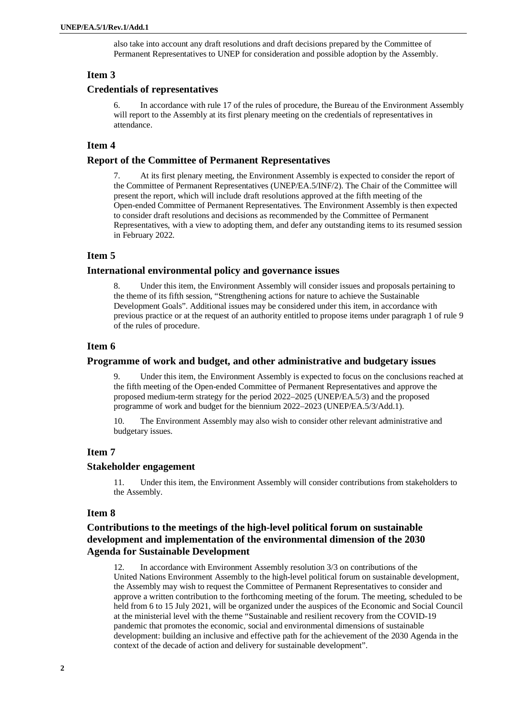also take into account any draft resolutions and draft decisions prepared by the Committee of Permanent Representatives to UNEP for consideration and possible adoption by the Assembly.

## **Item 3**

## **Credentials of representatives**

In accordance with rule 17 of the rules of procedure, the Bureau of the Environment Assembly will report to the Assembly at its first plenary meeting on the credentials of representatives in attendance.

### **Item 4**

#### **Report of the Committee of Permanent Representatives**

7. At its first plenary meeting, the Environment Assembly is expected to consider the report of the Committee of Permanent Representatives (UNEP/EA.5/INF/2). The Chair of the Committee will present the report, which will include draft resolutions approved at the fifth meeting of the Open-ended Committee of Permanent Representatives. The Environment Assembly is then expected to consider draft resolutions and decisions as recommended by the Committee of Permanent Representatives, with a view to adopting them, and defer any outstanding items to its resumed session in February 2022.

## **Item 5**

#### **International environmental policy and governance issues**

8. Under this item, the Environment Assembly will consider issues and proposals pertaining to the theme of its fifth session, "Strengthening actions for nature to achieve the Sustainable Development Goals". Additional issues may be considered under this item, in accordance with previous practice or at the request of an authority entitled to propose items under paragraph 1 of rule 9 of the rules of procedure.

#### **Item 6**

#### **Programme of work and budget, and other administrative and budgetary issues**

Under this item, the Environment Assembly is expected to focus on the conclusions reached at the fifth meeting of the Open-ended Committee of Permanent Representatives and approve the proposed medium-term strategy for the period 2022–2025 (UNEP/EA.5/3) and the proposed programme of work and budget for the biennium 2022–2023 (UNEP/EA.5/3/Add.1).

10. The Environment Assembly may also wish to consider other relevant administrative and budgetary issues.

#### **Item 7**

#### **Stakeholder engagement**

11. Under this item, the Environment Assembly will consider contributions from stakeholders to the Assembly.

#### **Item 8**

## **Contributions to the meetings of the high-level political forum on sustainable development and implementation of the environmental dimension of the 2030 Agenda for Sustainable Development**

12. In accordance with Environment Assembly resolution 3/3 on contributions of the United Nations Environment Assembly to the high-level political forum on sustainable development, the Assembly may wish to request the Committee of Permanent Representatives to consider and approve a written contribution to the forthcoming meeting of the forum. The meeting, scheduled to be held from 6 to 15 July 2021, will be organized under the auspices of the Economic and Social Council at the ministerial level with the theme "Sustainable and resilient recovery from the COVID-19 pandemic that promotes the economic, social and environmental dimensions of sustainable development: building an inclusive and effective path for the achievement of the 2030 Agenda in the context of the decade of action and delivery for sustainable development".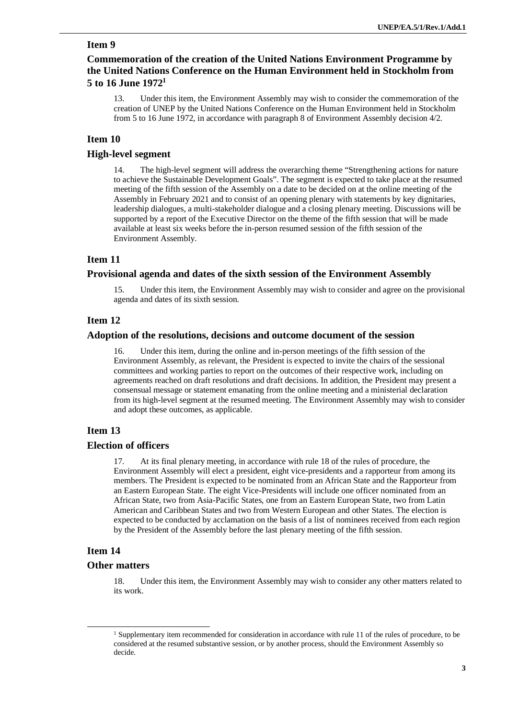## **Item 9**

## **Commemoration of the creation of the United Nations Environment Programme by the United Nations Conference on the Human Environment held in Stockholm from 5 to 16 June [1972](#page-2-0)<sup>1</sup>**

13. Under this item, the Environment Assembly may wish to consider the commemoration of the creation of UNEP by the United Nations Conference on the Human Environment held in Stockholm from 5 to 16 June 1972, in accordance with paragraph 8 of Environment Assembly decision 4/2.

## **Item 10**

## **High-level segment**

14. The high-level segment will address the overarching theme "Strengthening actions for nature to achieve the Sustainable Development Goals". The segment is expected to take place at the resumed meeting of the fifth session of the Assembly on a date to be decided on at the online meeting of the Assembly in February 2021 and to consist of an opening plenary with statements by key dignitaries, leadership dialogues, a multi-stakeholder dialogue and a closing plenary meeting. Discussions will be supported by a report of the Executive Director on the theme of the fifth session that will be made available at least six weeks before the in-person resumed session of the fifth session of the Environment Assembly.

### **Item 11**

#### **Provisional agenda and dates of the sixth session of the Environment Assembly**

15. Under this item, the Environment Assembly may wish to consider and agree on the provisional agenda and dates of its sixth session.

#### **Item 12**

#### **Adoption of the resolutions, decisions and outcome document of the session**

16. Under this item, during the online and in-person meetings of the fifth session of the Environment Assembly, as relevant, the President is expected to invite the chairs of the sessional committees and working parties to report on the outcomes of their respective work, including on agreements reached on draft resolutions and draft decisions. In addition, the President may present a consensual message or statement emanating from the online meeting and a ministerial declaration from its high-level segment at the resumed meeting. The Environment Assembly may wish to consider and adopt these outcomes, as applicable.

#### **Item 13**

#### **Election of officers**

17. At its final plenary meeting, in accordance with rule 18 of the rules of procedure, the Environment Assembly will elect a president, eight vice-presidents and a rapporteur from among its members. The President is expected to be nominated from an African State and the Rapporteur from an Eastern European State. The eight Vice-Presidents will include one officer nominated from an African State, two from Asia-Pacific States, one from an Eastern European State, two from Latin American and Caribbean States and two from Western European and other States. The election is expected to be conducted by acclamation on the basis of a list of nominees received from each region by the President of the Assembly before the last plenary meeting of the fifth session.

#### **Item 14**

#### **Other matters**

18. Under this item, the Environment Assembly may wish to consider any other matters related to its work.

<span id="page-2-0"></span><sup>&</sup>lt;sup>1</sup> Supplementary item recommended for consideration in accordance with rule 11 of the rules of procedure, to be considered at the resumed substantive session, or by another process, should the Environment Assembly so decide.